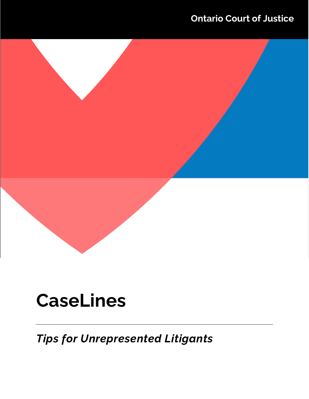# **Ontario Court of Justice**

# **CaseLines**

*Tips for Unrepresented Litigants*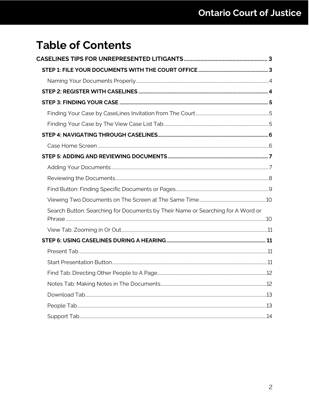# **Table of Contents**

| Search Button: Searching for Documents by Their Name or Searching for A Word or |  |
|---------------------------------------------------------------------------------|--|
|                                                                                 |  |
|                                                                                 |  |
|                                                                                 |  |
|                                                                                 |  |
|                                                                                 |  |
|                                                                                 |  |
|                                                                                 |  |
|                                                                                 |  |
|                                                                                 |  |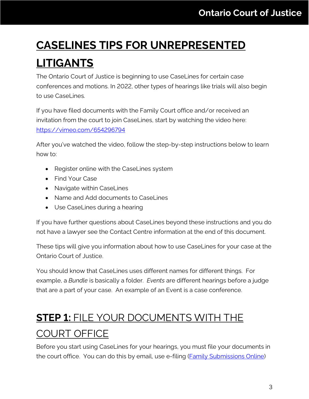# <span id="page-2-0"></span>**CASELINES TIPS FOR UNREPRESENTED LITIGANTS**

The Ontario Court of Justice is beginning to use CaseLines for certain case conferences and motions. In 2022, other types of hearings like trials will also begin to use CaseLines.

If you have filed documents with the Family Court office and/or received an invitation from the court to join CaseLines, start by watching the video here: <https://vimeo.com/654296794>

After you've watched the video, follow the step-by-step instructions below to learn how to:

- Register online with the CaseLines system
- Find Your Case
- Navigate within CaseLines
- Name and Add documents to CaseLines
- Use CaseLines during a hearing

If you have further questions about CaseLines beyond these instructions and you do not have a lawyer see the Contact Centre information at the end of this document.

These tips will give you information about how to use CaseLines for your case at the Ontario Court of Justice.

You should know that CaseLines uses different names for different things. For example, a *Bundle* is basically a folder. *Events* are different hearings before a judge that are a part of your case. An example of an Event is a case conference.

# <span id="page-2-1"></span>**STEP 1:** FILE YOUR DOCUMENTS WITH THE

# COURT OFFICE

Before you start using CaseLines for your hearings, you must file your documents in the court office. You can do this by email, use e-filing (**Family Submissions Online**)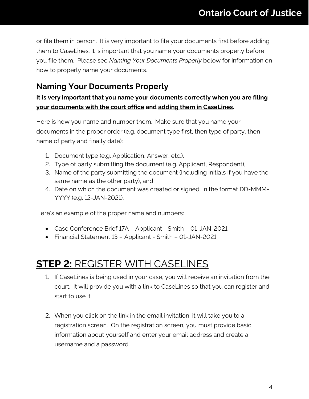or file them in person. It is very important to file your documents first before adding them to CaseLines. It is important that you name your documents properly before you file them. Please see *Naming Your Documents Properly* below for information on how to properly name your documents.

#### <span id="page-3-0"></span>**Naming Your Documents Properly**

#### **It is very important that you name your documents correctly when you are filing your documents with the court office and adding them in CaseLines.**

Here is how you name and number them. Make sure that you name your documents in the proper order (e.g. document type first, then type of party, then name of party and finally date):

- 1. Document type (e.g. Application, Answer, etc.),
- 2. Type of party submitting the document (e.g. Applicant, Respondent),
- 3. Name of the party submitting the document (including initials if you have the same name as the other party), and
- 4. Date on which the document was created or signed, in the format DD-MMM-YYYY (e.g. 12-JAN-2021).

Here's an example of the proper name and numbers:

- Case Conference Brief 17A Applicant Smith 01-JAN-2021
- Financial Statement 13 Applicant Smith 01-JAN-2021

### <span id="page-3-1"></span>**STEP 2:** REGISTER WITH CASELINES

- 1. If CaseLines is being used in your case, you will receive an invitation from the court. It will provide you with a link to CaseLines so that you can register and start to use it.
- 2. When you click on the link in the email invitation, it will take you to a registration screen. On the registration screen, you must provide basic information about yourself and enter your email address and create a username and a password.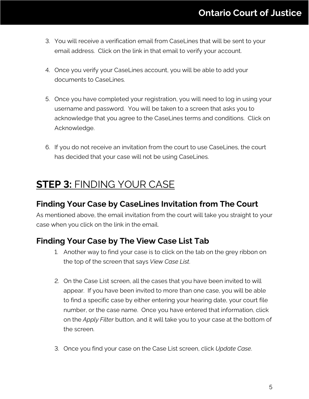- 3. You will receive a verification email from CaseLines that will be sent to your email address. Click on the link in that email to verify your account.
- 4. Once you verify your CaseLines account, you will be able to add your documents to CaseLines.
- 5. Once you have completed your registration, you will need to log in using your username and password. You will be taken to a screen that asks you to acknowledge that you agree to the CaseLines terms and conditions. Click on Acknowledge.
- 6. If you do not receive an invitation from the court to use CaseLines, the court has decided that your case will not be using CaseLines.

### <span id="page-4-0"></span>**STEP 3:** FINDING YOUR CASE

#### <span id="page-4-1"></span>**Finding Your Case by CaseLines Invitation from The Court**

As mentioned above, the email invitation from the court will take you straight to your case when you click on the link in the email.

#### <span id="page-4-2"></span>**Finding Your Case by The View Case List Tab**

- 1. Another way to find your case is to click on the tab on the grey ribbon on the top of the screen that says *View Case List*.
- 2. On the Case List screen, all the cases that you have been invited to will appear. If you have been invited to more than one case, you will be able to find a specific case by either entering your hearing date, your court file number, or the case name. Once you have entered that information, click on the *Apply Filter* button, and it will take you to your case at the bottom of the screen.
- 3. Once you find your case on the Case List screen, click *Update Case*.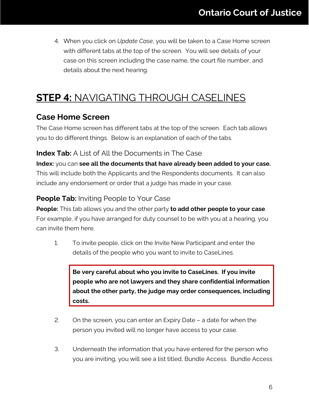4. When you click on *Update Case*, you will be taken to a Case Home screen with different tabs at the top of the screen. You will see details of your case on this screen including the case name, the court file number, and details about the next hearing.

## <span id="page-5-0"></span>**STEP 4:** NAVIGATING THROUGH CASELINES

#### <span id="page-5-1"></span>**Case Home Screen**

The Case Home screen has different tabs at the top of the screen. Each tab allows you to do different things. Below is an explanation of each of the tabs.

#### **Index Tab:** A List of All the Documents in The Case

**Index:** you can **see all the documents that have already been added to your case.** This will include both the Applicants and the Respondents documents. It can also include any endorsement or order that a judge has made in your case.

#### **People Tab:** Inviting People to Your Case

**People:** This tab allows you and the other party **to add other people to your case**. For example, if you have arranged for duty counsel to be with you at a hearing, you can invite them here.

1. To invite people, click on the Invite New Participant and enter the details of the people who you want to invite to CaseLines.

**Be very careful about who you invite to CaseLines. If you invite people who are not lawyers and they share confidential information about the other party, the judge may order consequences, including costs.**

- 2. On the screen, you can enter an Expiry Date a date for when the person you invited will no longer have access to your case.
- 3. Underneath the information that you have entered for the person who you are inviting, you will see a list titled, Bundle Access. Bundle Access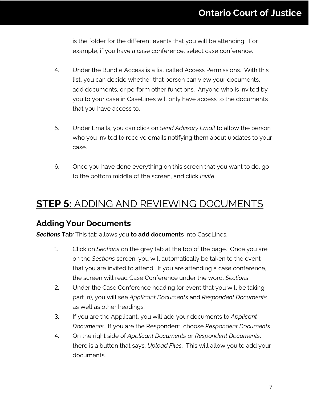is the folder for the different events that you will be attending. For example, if you have a case conference, select case conference.

- 4. Under the Bundle Access is a list called Access Permissions. With this list, you can decide whether that person can view your documents, add documents, or perform other functions. Anyone who is invited by you to your case in CaseLines will only have access to the documents that you have access to.
- 5. Under Emails, you can click on *Send Advisory Email* to allow the person who you invited to receive emails notifying them about updates to your case.
- 6. Once you have done everything on this screen that you want to do, go to the bottom middle of the screen, and click *Invite*.

### <span id="page-6-0"></span>**STEP 5:** ADDING AND REVIEWING DOCUMENTS

#### <span id="page-6-1"></span>**Adding Your Documents**

*Sections* **Tab***:* This tab allows you **to add documents** into CaseLines.

- 1. Click on *Sections* on the grey tab at the top of the page. Once you are on the *Sections* screen, you will automatically be taken to the event that you are invited to attend. If you are attending a case conference, the screen will read Case Conference under the word, *Sections*.
- 2. Under the Case Conference heading (or event that you will be taking part in), you will see *Applicant Documents* and *Respondent Documents* as well as other headings.
- 3. If you are the Applicant, you will add your documents to *Applicant Documents*. If you are the Respondent, choose *Respondent Documents*.
- 4. On the right side of *Applicant Documents* or *Respondent Documents*, there is a button that says, *Upload Files*. This will allow you to add your documents.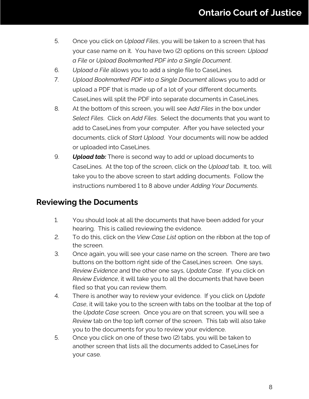- 5. Once you click on *Upload Files*, you will be taken to a screen that has your case name on it. You have two (2) options on this screen: *Upload a File* or *Upload Bookmarked PDF into a Single Document*.
- 6. *Upload a File* allows you to add a single file to CaseLines.
- 7. *Upload Bookmarked PDF into a Single Document* allows you to add or upload a PDF that is made up of a lot of your different documents. CaseLines will split the PDF into separate documents in CaseLines.
- 8. At the bottom of this screen, you will see A*dd Files* in the box under *Select Files*. Click on *Add Files*. Select the documents that you want to add to CaseLines from your computer. After you have selected your documents, click of *Start Upload*. Your documents will now be added or uploaded into CaseLines.
- 9. *Upload tab:* There is second way to add or upload documents to CaseLines. At the top of the screen, click on the *Upload* tab. It, too, will take you to the above screen to start adding documents. Follow the instructions numbered 1 to 8 above under *Adding Your Documents*.

#### <span id="page-7-0"></span>**Reviewing the Documents**

- 1. You should look at all the documents that have been added for your hearing. This is called reviewing the evidence.
- 2. To do this, click on the *View Case List* option on the ribbon at the top of the screen.
- 3. Once again, you will see your case name on the screen. There are two buttons on the bottom right side of the CaseLines screen. One says, *Review Evidence* and the other one says, *Update Case*. If you click on *Review Evidence*, it will take you to all the documents that have been filed so that you can review them.
- 4. There is another way to review your evidence. If you click on *Update Case*, it will take you to the screen with tabs on the toolbar at the top of the *Update Case* screen. Once you are on that screen, you will see a *Review* tab on the top left corner of the screen. This tab will also take you to the documents for you to review your evidence.
- 5. Once you click on one of these two (2) tabs, you will be taken to another screen that lists all the documents added to CaseLines for your case.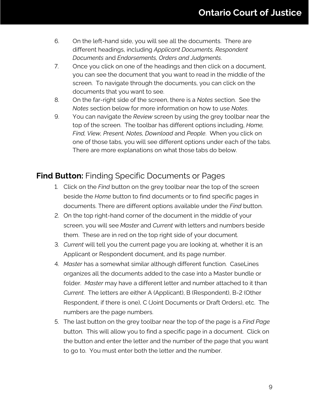- 6. On the left-hand side, you will see all the documents. There are different headings, including *Applicant Documents, Respondent Documents* and *Endorsements, Orders and Judgments*.
- 7. Once you click on one of the headings and then click on a document, you can see the document that you want to read in the middle of the screen. To navigate through the documents, you can click on the documents that you want to see.
- 8. On the far-right side of the screen, there is a *Notes* section. See the *Notes* section below for more information on how to use *Notes*.
- 9. You can navigate the *Review* screen by using the grey toolbar near the top of the screen. The toolbar has different options including, *Home, Find, View, Present, Notes, Download* and *People*. When you click on one of those tabs, you will see different options under each of the tabs. There are more explanations on what those tabs do below.

#### <span id="page-8-0"></span>**Find Button:** Finding Specific Documents or Pages

- 1. Click on the *Find* button on the grey toolbar near the top of the screen beside the *Home* button to find documents or to find specific pages in documents. There are different options available under the *Find* button.
- 2. On the top right-hand corner of the document in the middle of your screen, you will see *Master* and *Current* with letters and numbers beside them. These are in red on the top right side of your document.
- 3. *Current* will tell you the current page you are looking at, whether it is an Applicant or Respondent document, and its page number.
- 4. *Master* has a somewhat similar although different function. CaseLines organizes all the documents added to the case into a Master bundle or folder. *Master* may have a different letter and number attached to it than *Current*. The letters are either A (Applicant), B (Respondent), B-2 (Other Respondent, if there is one), C (Joint Documents or Draft Orders), etc. The numbers are the page numbers.
- 5. The last button on the grey toolbar near the top of the page is a *Find Page* button. This will allow you to find a specific page in a document. Click on the button and enter the letter and the number of the page that you want to go to. You must enter both the letter and the number.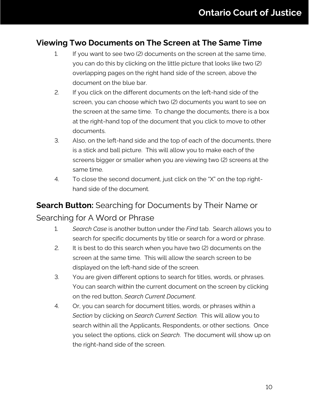#### <span id="page-9-0"></span>**Viewing Two Documents on The Screen at The Same Time**

- 1. If you want to see two (2) documents on the screen at the same time, you can do this by clicking on the little picture that looks like two (2) overlapping pages on the right hand side of the screen, above the document on the blue bar.
- 2. If you click on the different documents on the left-hand side of the screen, you can choose which two (2) documents you want to see on the screen at the same time. To change the documents, there is a box at the right-hand top of the document that you click to move to other documents.
- 3. Also, on the left-hand side and the top of each of the documents, there is a stick and ball picture. This will allow you to make each of the screens bigger or smaller when you are viewing two (2) screens at the same time.
- 4. To close the second document, just click on the "X" on the top righthand side of the document.

### <span id="page-9-1"></span>**Search Button:** Searching for Documents by Their Name or Searching for A Word or Phrase

- 1. *Search Case* is another button under the *Find* tab. Search allows you to search for specific documents by title or search for a word or phrase.
- 2. It is best to do this search when you have two (2) documents on the screen at the same time. This will allow the search screen to be displayed on the left-hand side of the screen.
- 3. You are given different options to search for titles, words, or phrases. You can search within the current document on the screen by clicking on the red button, *Search Current Document*.
- 4. Or, you can search for document titles, words, or phrases within a *Section* by clicking on *Search Current Section.* This will allow you to search within all the Applicants, Respondents, or other sections. Once you select the options, click on *Search*. The document will show up on the right-hand side of the screen.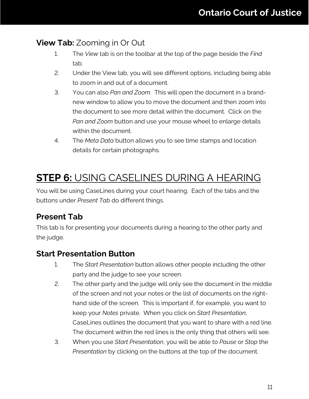#### <span id="page-10-0"></span>**View Tab:** Zooming in Or Out

- 1. The *View* tab is on the toolbar at the top of the page beside the *Find* tab.
- 2. Under the View tab, you will see different options, including being able to zoom in and out of a document.
- 3. You can also *Pan and Zoom*. This will open the document in a brandnew window to allow you to move the document and then zoom into the document to see more detail within the document. Click on the *Pan and Zoom* button and use your mouse wheel to enlarge details within the document.
- 4. The *Meta Data* button allows you to see time stamps and location details for certain photographs.

# <span id="page-10-1"></span>**STEP 6:** USING CASELINES DURING A HEARING

You will be using CaseLines during your court hearing. Each of the tabs and the buttons under *Present Tab* do different things.

#### <span id="page-10-2"></span>**Present Tab**

This tab is for presenting your documents during a hearing to the other party and the judge.

#### <span id="page-10-3"></span>**Start Presentation Button**

- 1. The *Start Presentation* button allows other people including the other party and the judge to see your screen.
- 2. The other party and the judge will only see the document in the middle of the screen and not your notes or the list of documents on the righthand side of the screen. This is important if, for example, you want to keep your *Notes* private. When you click on *Start Presentation*, CaseLines outlines the document that you want to share with a red line. The document within the red lines is the only thing that others will see.
- 3. When you use *Start Presentation*, you will be able to *Pause* or *Stop* the *Presentation* by clicking on the buttons at the top of the document.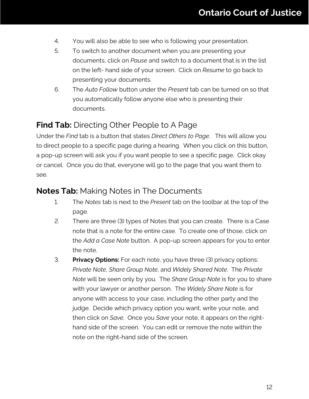- 4. You will also be able to see who is following your presentation.
- 5. To switch to another document when you are presenting your documents, click on *Pause* and switch to a document that is in the list on the left- hand side of your screen. Click on *Resume* to go back to presenting your documents.
- 6. The *Auto Follow* button under the *Present* tab can be turned on so that you automatically follow anyone else who is presenting their documents.

#### <span id="page-11-0"></span>**Find Tab:** Directing Other People to A Page

Under the *Find* tab is a button that states *Direct Others to Page*. This will allow you to direct people to a specific page during a hearing. When you click on this button, a pop-up screen will ask you if you want people to see a specific page. Click okay or cancel. Once you do that, everyone will go to the page that you want them to see.

#### <span id="page-11-1"></span>**Notes Tab:** Making Notes in The Documents

- 1. The *Notes* tab is next to the *Present* tab on the toolbar at the top of the page.
- 2. There are three (3) types of Notes that you can create. There is a Case note that is a note for the entire case. To create one of those, click on the *Add a Case Note* button. A pop-up screen appears for you to enter the note.
- 3. **Privacy Options:** For each note, you have three (3) privacy options: *Private Note*, *Share Group Note*, and *Widely Shared Note*. The *Private Note* will be seen only by you. The *Share Group Note* is for you to share with your lawyer or another person. The *Widely Share Note* is for anyone with access to your case, including the other party and the judge. Decide which privacy option you want, write your note, and then click on *Save*. Once you *Save* your note, it appears on the righthand side of the screen. You can edit or remove the note within the note on the right-hand side of the screen.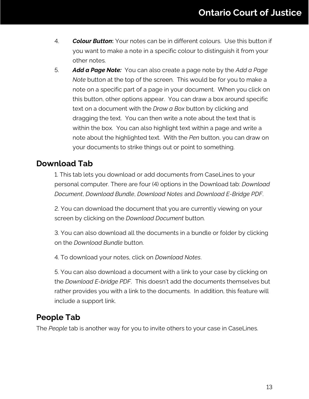- 4. *Colour Button***:** Your notes can be in different colours. Use this button if you want to make a note in a specific colour to distinguish it from your other notes.
- 5. *Add a Page Note:* You can also create a page note by the *Add a Page Note* button at the top of the screen. This would be for you to make a note on a specific part of a page in your document. When you click on this button, other options appear. You can draw a box around specific text on a document with the *Draw a Box* button by clicking and dragging the text. You can then write a note about the text that is within the box. You can also highlight text within a page and write a note about the highlighted text. With the *Pen* button, you can draw on your documents to strike things out or point to something.

#### <span id="page-12-0"></span>**Download Tab**

1. This tab lets you download or add documents from CaseLines to your personal computer. There are four (4) options in the Download tab: *Download Document*, *Download Bundle*, *Download Notes* and *Download E-Bridge PDF*.

2. You can download the document that you are currently viewing on your screen by clicking on the *Download Document* button.

3. You can also download all the documents in a bundle or folder by clicking on the *Download Bundle* button.

4. To download your notes, click on *Download Notes*.

5. You can also download a document with a link to your case by clicking on the *Download E-bridge PDF*. This doesn't add the documents themselves but rather provides you with a link to the documents. In addition, this feature will include a support link.

#### <span id="page-12-1"></span>**People Tab**

The *People* tab is another way for you to invite others to your case in CaseLines.